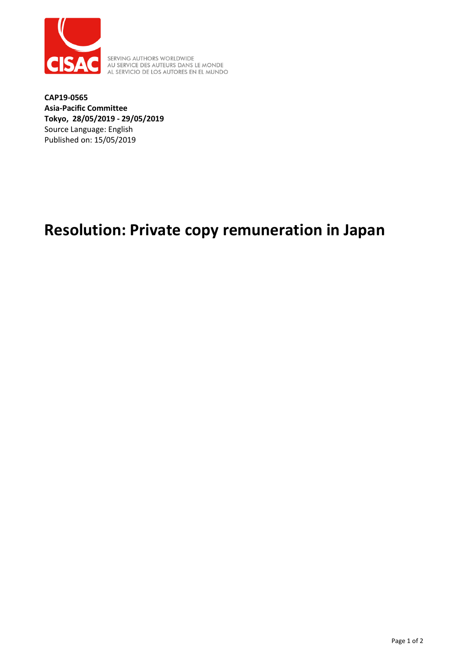

SERVING AUTHORS WORLDWIDE<br>AU SERVICE DES AUTEURS DANS LE MONDE<br>AL SERVICIO DE LOS AUTORES EN EL MUNDO

**CAP19-0565 Asia-Pacific Committee Tokyo, 28/05/2019 - 29/05/2019** Source Language: English Published on: 15/05/2019

## **Resolution: Private copy remuneration in Japan**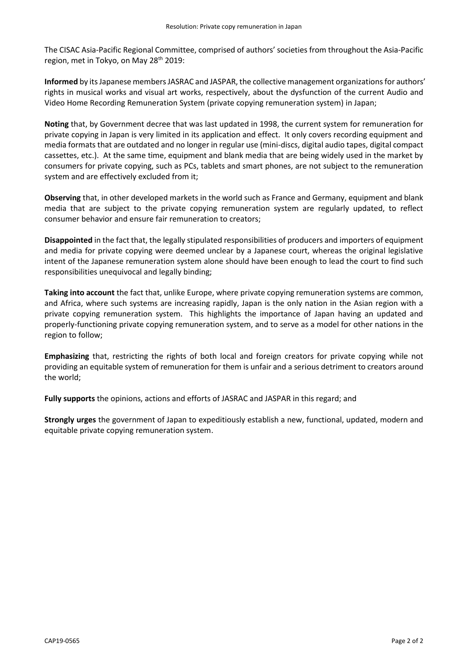The CISAC Asia-Pacific Regional Committee, comprised of authors' societies from throughout the Asia-Pacific region, met in Tokyo, on May 28<sup>th</sup> 2019:

Informed by its Japanese members JASRAC and JASPAR, the collective management organizations for authors' rights in musical works and visual art works, respectively, about the dysfunction of the current Audio and Video Home Recording Remuneration System (private copying remuneration system) in Japan;

**Noting** that, by Government decree that was last updated in 1998, the current system for remuneration for private copying in Japan is very limited in its application and effect. It only covers recording equipment and media formats that are outdated and no longer in regular use (mini-discs, digital audio tapes, digital compact cassettes, etc.). At the same time, equipment and blank media that are being widely used in the market by consumers for private copying, such as PCs, tablets and smart phones, are not subject to the remuneration system and are effectively excluded from it;

**Observing** that, in other developed markets in the world such as France and Germany, equipment and blank media that are subject to the private copying remuneration system are regularly updated, to reflect consumer behavior and ensure fair remuneration to creators;

**Disappointed** in the fact that, the legally stipulated responsibilities of producers and importers of equipment and media for private copying were deemed unclear by a Japanese court, whereas the original legislative intent of the Japanese remuneration system alone should have been enough to lead the court to find such responsibilities unequivocal and legally binding;

**Taking into account** the fact that, unlike Europe, where private copying remuneration systems are common, and Africa, where such systems are increasing rapidly, Japan is the only nation in the Asian region with a private copying remuneration system. This highlights the importance of Japan having an updated and properly-functioning private copying remuneration system, and to serve as a model for other nations in the region to follow;

**Emphasizing** that, restricting the rights of both local and foreign creators for private copying while not providing an equitable system of remuneration for them is unfair and a serious detriment to creators around the world;

**Fully supports** the opinions, actions and efforts of JASRAC and JASPAR in this regard; and

**Strongly urges** the government of Japan to expeditiously establish a new, functional, updated, modern and equitable private copying remuneration system.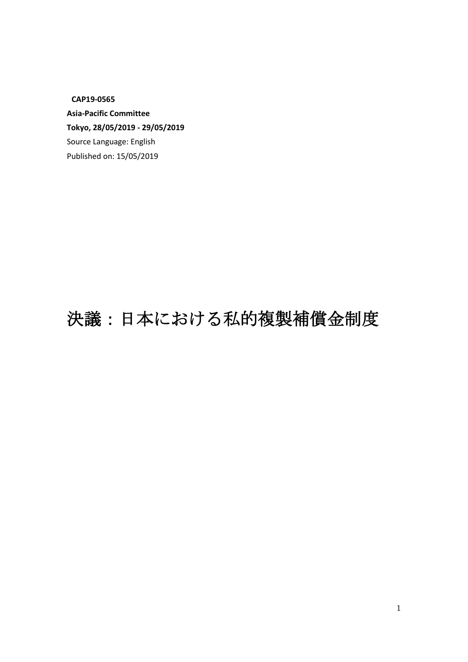**CAP19-0565** 

**Asia-Pacific Committee Tokyo, 28/05/2019 - 29/05/2019**  Source Language: English Published on: 15/05/2019

## 決議:日本における私的複製補償金制度